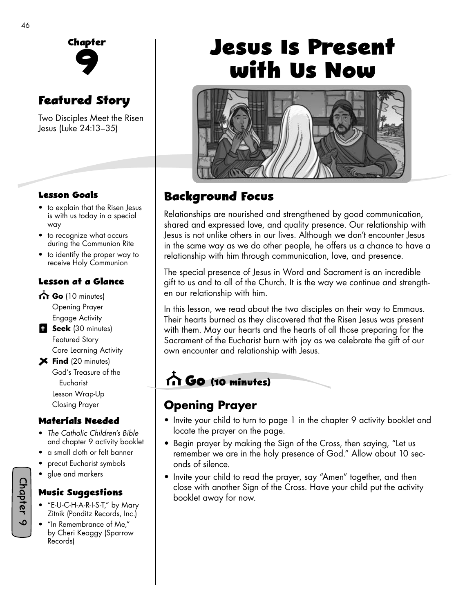

# **Featured Story**

Two Disciples Meet the Risen Jesus (Luke 24:13–35)

#### **Lesson Goals**

- to explain that the Risen Jesus is with us today in a special way
- to recognize what occurs during the Communion Rite
- to identify the proper way to receive Holy Communion

#### **Lesson at a Glance**

- **Go** (10 minutes)
	- Opening Prayer Engage Activity
- **Seek** (30 minutes) Featured Story Core Learning Activity
- **Find** (20 minutes) God's Treasure of the Eucharist Lesson Wrap-Up Closing Prayer

#### **Materials Needed**

- *The Catholic Children's Bible*  and chapter 9 activity booklet
- a small cloth or felt banner
- precut Eucharist symbols
- glue and markers

#### **Music Suggestions**

- "E-U-C-H-A-R-I-S-T," by Mary Zitnik (Ponditz Records, Inc.)
- "In Remembrance of Me," by Cheri Keaggy (Sparrow Records)

# **Jesus Is Present with Us Now**



# **Background Focus**

Relationships are nourished and strengthened by good communication, shared and expressed love, and quality presence. Our relationship with Jesus is not unlike others in our lives. Although we don't encounter Jesus in the same way as we do other people, he offers us a chance to have a relationship with him through communication, love, and presence.

The special presence of Jesus in Word and Sacrament is an incredible gift to us and to all of the Church. It is the way we continue and strengthen our relationship with him.

In this lesson, we read about the two disciples on their way to Emmaus. Their hearts burned as they discovered that the Risen Jesus was present with them. May our hearts and the hearts of all those preparing for the Sacrament of the Eucharist burn with joy as we celebrate the gift of our own encounter and relationship with Jesus.

# **Go (10 minutes)**

### **Opening Prayer**

- Invite your child to turn to page 1 in the chapter 9 activity booklet and locate the prayer on the page.
- Begin prayer by making the Sign of the Cross, then saying, "Let us remember we are in the holy presence of God." Allow about 10 seconds of silence.
- Invite your child to read the prayer, say "Amen" together, and then close with another Sign of the Cross. Have your child put the activity booklet away for now.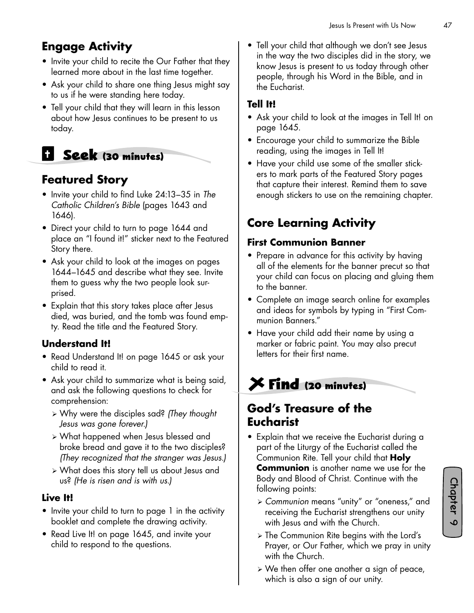# **Engage Activity**

- Invite your child to recite the Our Father that they learned more about in the last time together.
- Ask your child to share one thing Jesus might say to us if he were standing here today.
- Tell your child that they will learn in this lesson about how Jesus continues to be present to us today.

# **Seek (30 minutes)**

### **Featured Story**

- Invite your child to find Luke 24:13–35 in The *Catholic Children's Bible* (pages 1643 and 1646).
- Direct your child to turn to page 1644 and place an "I found it!" sticker next to the Featured Story there.
- Ask your child to look at the images on pages 1644–1645 and describe what they see. Invite them to guess why the two people look surprised.
- Explain that this story takes place after Jesus died, was buried, and the tomb was found empty. Read the title and the Featured Story.

#### **Understand It!**

- Read Understand It! on page 1645 or ask your child to read it.
- Ask your child to summarize what is being said, and ask the following questions to check for comprehension:
	- ¾ Why were the disciples sad? *(They thought Jesus was gone forever.)*
	- ¾ What happened when Jesus blessed and broke bread and gave it to the two disciples? *(They recognized that the stranger was Jesus.)*
	- ¾ What does this story tell us about Jesus and us? *(He is risen and is with us.)*

#### **Live It!**

- Invite your child to turn to page 1 in the activity booklet and complete the drawing activity.
- Read Live It! on page 1645, and invite your child to respond to the questions.

• Tell your child that although we don't see Jesus in the way the two disciples did in the story, we know Jesus is present to us today through other people, through his Word in the Bible, and in the Eucharist.

#### **Tell It!**

- Ask your child to look at the images in Tell It! on page 1645.
- Encourage your child to summarize the Bible reading, using the images in Tell It!
- Have your child use some of the smaller stickers to mark parts of the Featured Story pages that capture their interest. Remind them to save enough stickers to use on the remaining chapter.

# **Core Learning Activity**

#### **First Communion Banner**

- Prepare in advance for this activity by having all of the elements for the banner precut so that your child can focus on placing and gluing them to the banner.
- Complete an image search online for examples and ideas for symbols by typing in "First Communion Banners."
- Have your child add their name by using a marker or fabric paint. You may also precut letters for their first name.

# **Find (20 minutes)**

#### **God's Treasure of the Eucharist**

- Explain that we receive the Eucharist during a part of the Liturgy of the Eucharist called the Communion Rite. Tell your child that **Holy Communion** is another name we use for the Body and Blood of Christ. Continue with the following points:
	- ¾ *Communion* means "unity" or "oneness," and receiving the Eucharist strengthens our unity with Jesus and with the Church.
	- ¾ The Communion Rite begins with the Lord's Prayer, or Our Father, which we pray in unity with the Church.
	- $\triangleright$  We then offer one another a sign of peace, which is also a sign of our unity.